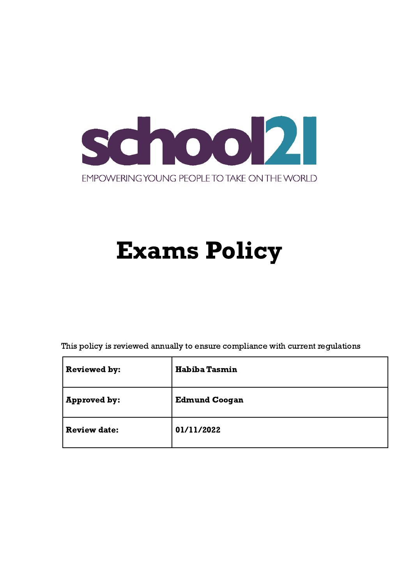

# Exams Policy

This policy is reviewed annually to ensure compliance with current regulations

<span id="page-0-0"></span>

| <b>Reviewed by:</b> | <b>Habiba Tasmin</b> |
|---------------------|----------------------|
| <b>Approved by:</b> | <b>Edmund Coogan</b> |
| <b>Review date:</b> | 01/11/2022           |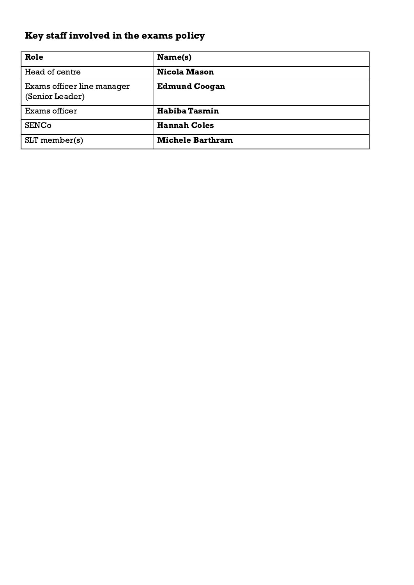# Key staff involved in the exams policy

| Role                                          | Name(s)                 |
|-----------------------------------------------|-------------------------|
| Head of centre                                | <b>Nicola Mason</b>     |
| Exams officer line manager<br>(Senior Leader) | <b>Edmund Coogan</b>    |
| Exams officer                                 | <b>Habiba Tasmin</b>    |
| <b>SENCo</b>                                  | <b>Hannah Coles</b>     |
| $SLT$ member(s)                               | <b>Michele Barthram</b> |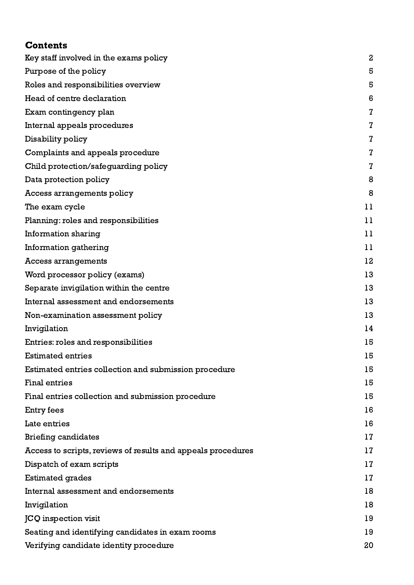# **Contents**

| Key staff involved in the exams policy                       | $\boldsymbol{2}$ |
|--------------------------------------------------------------|------------------|
| Purpose of the policy                                        | 5                |
| Roles and responsibilities overview                          | 5                |
| Head of centre declaration                                   | 6                |
| Exam contingency plan                                        | 7                |
| Internal appeals procedures                                  | $\mathbf 7$      |
| Disability policy                                            | 7                |
| Complaints and appeals procedure                             | $\mathbf 7$      |
| Child protection/safeguarding policy                         | 7                |
| Data protection policy                                       | 8                |
| Access arrangements policy                                   | 8                |
| The exam cycle                                               | 11               |
| Planning: roles and responsibilities                         | 11               |
| <b>Information sharing</b>                                   | 11               |
| Information gathering                                        | 11               |
| Access arrangements                                          | 12               |
| Word processor policy (exams)                                | 13               |
| Separate invigilation within the centre                      | 13               |
| Internal assessment and endorsements                         | 13               |
| Non-examination assessment policy                            | 13               |
| Invigilation                                                 | 14               |
| Entries: roles and responsibilities                          | 15               |
| <b>Estimated entries</b>                                     | 15               |
| Estimated entries collection and submission procedure        | 15               |
| <b>Final entries</b>                                         | 15               |
| Final entries collection and submission procedure            | 15               |
| Entry fees                                                   | 16               |
| Late entries                                                 | 16               |
| <b>Briefing candidates</b>                                   | 17               |
| Access to scripts, reviews of results and appeals procedures | 17               |
| Dispatch of exam scripts                                     | 17               |
| <b>Estimated grades</b>                                      | 17               |
| Internal assessment and endorsements                         | 18               |
| Invigilation                                                 | 18               |
| JCQ inspection visit                                         | 19               |
| Seating and identifying candidates in exam rooms             | 19               |
| Verifying candidate identity procedure                       | 20               |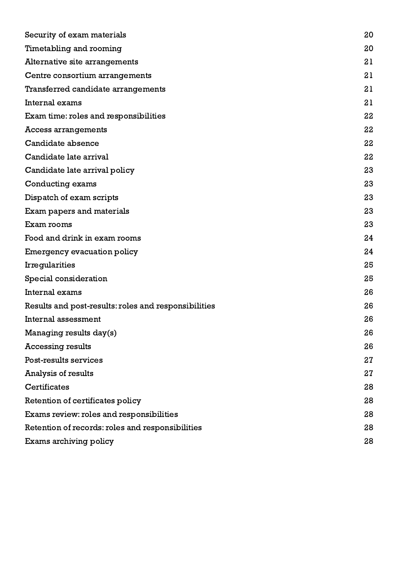| Security of exam materials                           | 20 |
|------------------------------------------------------|----|
| Timetabling and rooming                              | 20 |
| Alternative site arrangements                        | 21 |
| Centre consortium arrangements                       | 21 |
| Transferred candidate arrangements                   | 21 |
| Internal exams                                       | 21 |
| Exam time: roles and responsibilities                | 22 |
| Access arrangements                                  | 22 |
| Candidate absence                                    | 22 |
| Candidate late arrival                               | 22 |
| Candidate late arrival policy                        | 23 |
| Conducting exams                                     | 23 |
| Dispatch of exam scripts                             | 23 |
| Exam papers and materials                            | 23 |
| Exam rooms                                           | 23 |
| Food and drink in exam rooms                         | 24 |
| <b>Emergency evacuation policy</b>                   | 24 |
| Irregularities                                       | 25 |
| Special consideration                                | 25 |
| Internal exams                                       | 26 |
| Results and post-results: roles and responsibilities | 26 |
| Internal assessment                                  | 26 |
| Managing results day(s)                              | 26 |
| <b>Accessing results</b>                             | 26 |
| Post-results services                                | 27 |
| Analysis of results                                  | 27 |
| <b>Certificates</b>                                  | 28 |
| Retention of certificates policy                     | 28 |
| Exams review: roles and responsibilities             | 28 |
| Retention of records: roles and responsibilities     | 28 |
| Exams archiving policy                               | 28 |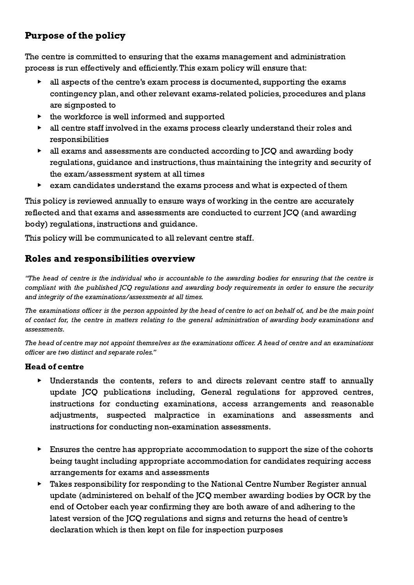# <span id="page-4-0"></span>Purpose of the policy

The centre is committed to ensuring that the exams management and administration process is run effectively and efficiently.This exam policy will ensure that:

- ▶ all aspects of the centre's exam process is documented, supporting the exams contingency plan, and other relevant exams-related policies, procedures and plans are signposted to
- $\triangleright$  the workforce is well informed and supported
- ▶ all centre staff involved in the exams process clearly understand their roles and responsibilities
- ▶ all exams and assessments are conducted according to JCQ and awarding body regulations, guidance and instructions, thus maintaining the integrity and security of the exam/assessment system at all times
- ▶ exam candidates understand the exams process and what is expected of them

This policy is reviewed annually to ensure ways of working in the centre are accurately reflected and that exams and assessments are conducted to current JCQ (and awarding body) regulations, instructions and guidance.

This policy will be communicated to all relevant centre staff.

# <span id="page-4-1"></span>Roles and responsibilities overview

"The head of centre is the individual who is accountable to the awarding bodies for ensuring that the centre is compliant with the published JCQ regulations and awarding body requirements in order to ensure the security and integrity of the examinations/assessments at all times.

The examinations officer is the person appointed by the head of centre to act on behalf of, and be the main point of contact for, the centre in matters relating to the general administration of awarding body examinations and assessments.

The head of centre may not appoint themselves as the examinations officer. A head of centre and an examinations officer are two distinct and separate roles."

## Head of centre

- Understands the contents, refers to and directs relevant centre staff to annually update JCQ publications including, General regulations for approved centres, instructions for conducting examinations, access arrangements and reasonable adjustments, suspected malpractice in examinations and assessments and instructions for conducting non-examination assessments.
- $\triangleright$  Ensures the centre has appropriate accommodation to support the size of the cohorts being taught including appropriate accommodation for candidates requiring access arrangements for exams and assessments
- ▶ Takes responsibility for responding to the National Centre Number Register annual update (administered on behalf of the JCQ member awarding bodies by OCR by the end of October each year confirming they are both aware of and adhering to the latest version of the JCQ regulations and signs and returns the head of centre's declaration which is then kept on file for inspection purposes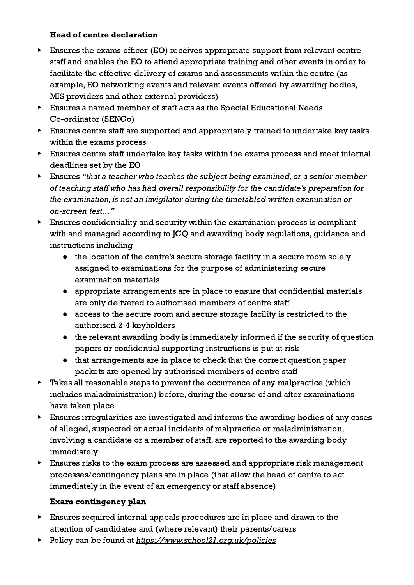## Head of centre declaration

- <span id="page-5-0"></span>▶ Ensures the exams officer (EO) receives appropriate support from relevant centre staff and enables the EO to attend appropriate training and other events in order to facilitate the effective delivery of exams and assessments within the centre (as example, EO networking events and relevant events offered by awarding bodies, MIS providers and other external providers)
- ▶ Ensures a named member of staff acts as the Special Educational Needs Co-ordinator (SENCo)
- ▶ Ensures centre staff are supported and appropriately trained to undertake key tasks within the exams process
- ▶ Ensures centre staff undertake key tasks within the exams process and meet internal deadlines set by the EO
- ▶ Ensures "that a teacher who teaches the subject being examined, or a senior member of teaching staff who has had overall responsibility for the candidate's preparation for the examination, is not an invigilator during the timetabled written examination or on-screen test…"
- ▶ Ensures confidentiality and security within the examination process is compliant with and managed according to JCQ and awarding body regulations, guidance and instructions including
	- the location of the centre's secure storage facility in a secure room solely assigned to examinations for the purpose of administering secure examination materials
	- appropriate arrangements are in place to ensure that confidential materials are only delivered to authorised members of centre staff
	- access to the secure room and secure storage facility is restricted to the authorised 2-4 keyholders
	- the relevant awarding body is immediately informed if the security of question papers or confidential supporting instructions is put at risk
	- that arrangements are in place to check that the correct question paper packets are opened by authorised members of centre staff
- ▶ Takes all reasonable steps to prevent the occurrence of any malpractice (which includes maladministration) before, during the course of and after examinations have taken place
- ▶ Ensures irregularities are investigated and informs the awarding bodies of any cases of alleged, suspected or actual incidents of malpractice or maladministration, involving a candidate or a member of staff, are reported to the awarding body immediately
- ▶ Ensures risks to the exam process are assessed and appropriate risk management processes/contingency plans are in place (that allow the head of centre to act immediately in the event of an emergency or staff absence)

# Exam contingency plan

- <span id="page-5-1"></span>▶ Ensures required internal appeals procedures are in place and drawn to the attention of candidates and (where relevant) their parents/carers
- ▶ Policy can be found at <https://www.school21.org.uk/policies>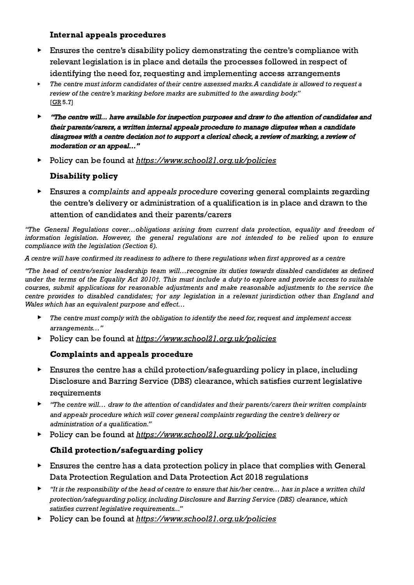#### Internal appeals procedures

- <span id="page-6-0"></span>▶ Ensures the centre's disability policy demonstrating the centre's compliance with relevant legislation is in place and details the processes followed in respect of identifying the need for, requesting and implementing access arrangements
- The centre must inform candidates of their centre assessed marks. A candidate is allowed to request a review of the centre's marking before marks are submitted to the awarding body." [\[GR](http://www.jcq.org.uk/exams-office/general-regulations) 5.7]
- ▶ "The centre will... have available for inspection purposes and draw to the attention of candidates and their parents/carers, <sup>a</sup> written internal appeals procedure to manage disputes when <sup>a</sup> candidate disagrees with <sup>a</sup> centre decision not to support <sup>a</sup> clerical check, <sup>a</sup> review of marking, <sup>a</sup> review of moderation or an appeal…"
- <span id="page-6-1"></span>▶ Policy can be found at <https://www.school21.org.uk/policies>

## Disability policy

▶ Ensures a complaints and appeals procedure covering general complaints regarding the centre's delivery or administration of a qualification is in place and drawn to the attention of candidates and their parents/carers

"The General Regulations cover…obligations arising from current data protection, equality and freedom of information legislation. However, the general regulations are not intended to be relied upon to ensure compliance with the legislation (Section 6).

A centre will have confirmed its readiness to adhere to these regulations when first approved as a centre

"The head of centre/senior leadership team will…recognise its duties towards disabled candidates as defined under the terms of the Equality Act 2010†. This must include a duty to explore and provide access to suitable courses, submit applications for reasonable adjustments and make reasonable adjustments to the service the centre provides to disabled candidates; *†or any legislation in a relevant jurisdiction other than England and* Wales which has an equivalent purpose and effect...

- $\blacktriangleright$  The centre must comply with the obligation to identify the need for, request and implement access arrangements…"
- <span id="page-6-2"></span>▶ Policy can be found at <https://www.school21.org.uk/policies>

## Complaints and appeals procedure

- ▶ Ensures the centre has a child protection/safeguarding policy in place, including Disclosure and Barring Service (DBS) clearance, which satisfies current legislative requirements
- ▶ "The centre will… draw to the attention of candidates and their parents/carers their written complaints and appeals procedure which will cover general complaints regarding the centre's delivery or administration of a qualification."
- <span id="page-6-3"></span>▶ Policy can be found at <https://www.school21.org.uk/policies>

# Child protection/safeguarding policy

- ▶ Ensures the centre has a data protection policy in place that complies with General Data Protection Regulation and Data Protection Act 2018 regulations
- ▶ "It is the responsibility of the head of centre to ensure that his/her centre… has in place a written child protection/safeguarding policy, including Disclosure and Barring Service (DBS) clearance, which satisfies current legislative requirements..."
- ▶ Policy can be found at <https://www.school21.org.uk/policies>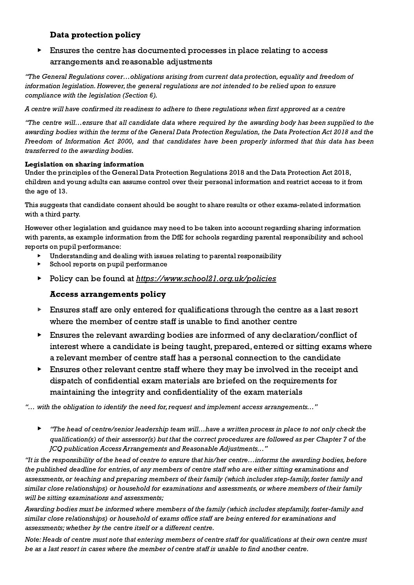#### Data protection policy

## <span id="page-7-0"></span>▶ Ensures the centre has documented processes in place relating to access arrangements and reasonable adjustments

"The General Regulations cover…obligations arising from current data protection, equality and freedom of information legislation.However, the general regulations are not intended to be relied upon to ensure compliance with the legislation (Section 6).

A centre will have confirmed its readiness to adhere to these regulations when first approved as a centre

"The centre will…ensure that all candidate data where required by the awarding body has been supplied to the awarding bodies within the terms of the General Data Protection Regulation, the Data Protection Act 2018 and the Freedom of Information Act 2000, and that candidates have been properly informed that this data has been transferred to the awarding bodies.

#### Legislation on sharing information

Under the principles of the General Data Protection Regulations 2018 and the Data Protection Act 2018, children and young adults can assume control over their personal information and restrict access to it from the age of 13.

This suggests that candidate consent should be sought to share results or other exams-related information with a third party.

However other legislation and guidance may need to be taken into account regarding sharing information with parents, as example information from the DfE for schools regarding parental responsibility and school reports on pupil performance:

- Understanding and dealing with issues relating to parental responsibility
- School reports on pupil performance
- <span id="page-7-1"></span>▶ Policy can be found at <https://www.school21.org.uk/policies>

#### Access arrangements policy

- ▶ Ensures staff are only entered for qualifications through the centre as a last resort where the member of centre staff is unable to find another centre
- ▶ Ensures the relevant awarding bodies are informed of any declaration/conflict of interest where a candidate is being taught, prepared, entered or sitting exams where a relevant member of centre staff has a personal connection to the candidate
- ▶ Ensures other relevant centre staff where they may be involved in the receipt and dispatch of confidential exam materials are briefed on the requirements for maintaining the integrity and confidentiality of the exam materials

"... with the obligation to identify the need for, request and implement access arrangements..."

▶ "The head of centre/senior leadership team will…have a written process in place to not only check the qualification(s) of their assessor(s) but that the correct procedures are followed as per Chapter 7 of the JCQ publication Access Arrangements and Reasonable Adjustments…"

"It is the responsibility of the head of centre to ensure that his/her centre...informs the awarding bodies, before the published deadline for entries, of any members of centre staff who are either sitting examinations and assessments, or teaching and preparing members of their family (which includes step-family, foster family and similar close relationships) or household for examinations and assessments, or where members of their family will be sitting examinations and assessments;

Awarding bodies must be informed where members of the family (which includes stepfamily, foster-family and similar close relationships) or household of exams office staff are being entered for examinations and assessments; whether by the centre itself or a different centre.

Note: Heads of centre must note that entering members of centre staff for qualifications at their own centre must be as a last resort in cases where the member of centre staff is unable to find another centre.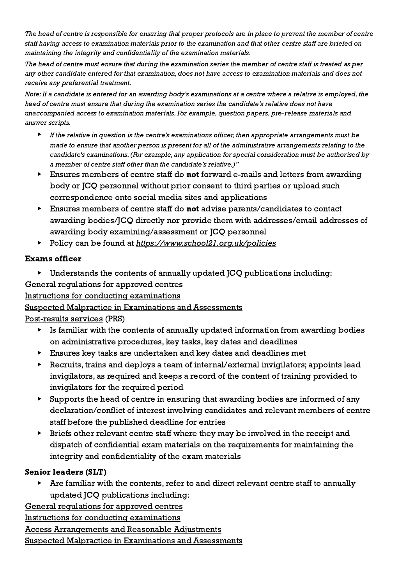The head of centre is responsible for ensuring that proper protocols are in place to prevent the member of centre staff having access to examination materials prior to the examination and that other centre staff are briefed on maintaining the integrity and confidentiality of the examination materials.

The head of centre must ensure that during the examination series the member of centre staff is treated as per any other candidate entered for that examination, does not have access to examination materials and does not receive any preferential treatment.

Note: If a candidate is entered for an awarding body's examinations at a centre where a relative is employed, the head of centre must ensure that during the examination series the candidate's relative does not have unaccompanied access to examination materials. For example, question papers, pre-release materials and answer scripts.

- If the relative in question is the centre's examinations officer, then appropriate arrangements must be made to ensure that another person is present for all of the administrative arrangements relating to the candidate's examinations.(For example, any application for special consideration must be authorised by a member of centre staff other than the candidate's relative.)"
- ▶ Ensures members of centre staff do not forward e-mails and letters from awarding body or JCQ personnel without prior consent to third parties or upload such correspondence onto social media sites and applications
- $\blacktriangleright$  Ensures members of centre staff do **not** advise parents/candidates to contact awarding bodies/JCQ directly nor provide them with addresses/email addresses of awarding body examining/assessment or JCQ personnel
- ▶ Policy can be found at <https://www.school21.org.uk/policies>

# Exams officer

 $\triangleright$  Understands the contents of annually updated  $\overline{ICQ}$  publications including:

# General [regulations](http://www.jcq.org.uk/exams-office/general-regulations) for approved centres

Instructions for conducting [examinations](http://www.jcq.org.uk/exams-office/ice---instructions-for-conducting-examinations)

# Suspected Malpractice in [Examinations](http://www.jcq.org.uk/exams-office/malpractice) and Assessments

[Post-results](http://www.jcq.org.uk/exams-office/post-results-services) services (PRS)

- $\triangleright$  Is familiar with the contents of annually updated information from awarding bodies on administrative procedures, key tasks, key dates and deadlines
- ▶ Ensures key tasks are undertaken and key dates and deadlines met
- ▶ Recruits, trains and deploys a team of internal/external invigilators; appoints lead invigilators, as required and keeps a record of the content of training provided to invigilators for the required period
- ▶ Supports the head of centre in ensuring that awarding bodies are informed of any declaration/conflict of interest involving candidates and relevant members of centre staff before the published deadline for entries
- ▶ Briefs other relevant centre staff where they may be involved in the receipt and dispatch of confidential exam materials on the requirements for maintaining the integrity and confidentiality of the exam materials

# Senior leaders (SLT)

Are familiar with the contents, refer to and direct relevant centre staff to annually updated JCQ publications including:

General [regulations](http://www.jcq.org.uk/exams-office/general-regulations) for approved centres

Instructions for conducting [examinations](http://www.jcq.org.uk/exams-office/ice---instructions-for-conducting-examinations)

Access [Arrangements](http://www.jcq.org.uk/exams-office/access-arrangements-and-special-consideration/regulations-and-guidance) and Reasonable Adjustments

Suspected Malpractice in [Examinations](http://www.jcq.org.uk/exams-office/malpractice) and Assessments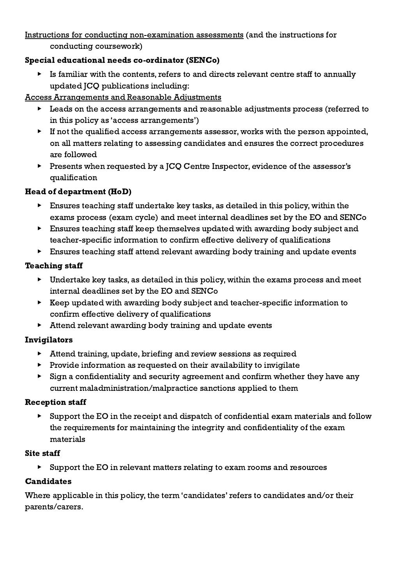Instructions for conducting [non-examination](http://www.jcq.org.uk/exams-office/non-examination-assessments) assessments (and the instructions for conducting coursework)

## Special educational needs co-ordinator (SENCo)

Is familiar with the contents, refers to and directs relevant centre staff to annually updated JCQ publications including:

Access [Arrangements](http://www.jcq.org.uk/exams-office/access-arrangements-and-special-consideration/regulations-and-guidance) and Reasonable Adjustments

- ▶ Leads on the access arrangements and reasonable adjustments process (referred to in this policy as 'access arrangements')
- ▶ If not the qualified access arrangements assessor, works with the person appointed, on all matters relating to assessing candidates and ensures the correct procedures are followed
- ▶ Presents when requested by a JCQ Centre Inspector, evidence of the assessor's qualification

# Head of department (HoD)

- $\blacktriangleright$  Ensures teaching staff undertake key tasks, as detailed in this policy, within the exams process (exam cycle) and meet internal deadlines set by the EO and SENCo
- ▶ Ensures teaching staff keep themselves updated with awarding body subject and teacher-specific information to confirm effective delivery of qualifications
- ▶ Ensures teaching staff attend relevant awarding body training and update events

## Teaching staff

- $\blacktriangleright$  Undertake key tasks, as detailed in this policy, within the exams process and meet internal deadlines set by the EO and SENCo
- ▶ Keep updated with awarding body subject and teacher-specific information to confirm effective delivery of qualifications
- ▶ Attend relevant awarding body training and update events

# Invigilators

- ▶ Attend training, update, briefing and review sessions as required
- $\blacktriangleright$  Provide information as requested on their availability to invigilate
- ▶ Sign a confidentiality and security agreement and confirm whether they have any current maladministration/malpractice sanctions applied to them

## Reception staff

▶ Support the EO in the receipt and dispatch of confidential exam materials and follow the requirements for maintaining the integrity and confidentiality of the exam materials

## Site staff

▶ Support the EO in relevant matters relating to exam rooms and resources

# Candidates

Where applicable in this policy, the term 'candidates' refers to candidates and/or their parents/carers.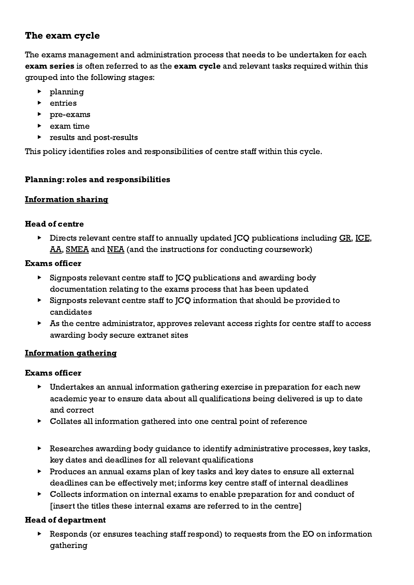# <span id="page-10-0"></span>The exam cycle

The exams management and administration process that needs to be undertaken for each exam series is often referred to as the exam cycle and relevant tasks required within this grouped into the following stages:

- ▶ planning
- ▶ entries
- ▶ pre-exams
- $\blacktriangleright$  exam time
- ▶ results and post-results

<span id="page-10-1"></span>This policy identifies roles and responsibilities of centre staff within this cycle.

## Planning: roles and responsibilities

## <span id="page-10-2"></span>Information sharing

## Head of centre

**•** Directs relevant centre staff to annually updated JCQ publications including [GR,](http://www.jcq.org.uk/exams-office/general-regulations) [ICE](http://www.jcq.org.uk/exams-office/ice---instructions-for-conducting-examinations), [AA,](http://www.jcq.org.uk/exams-office/access-arrangements-and-special-consideration) [SMEA](http://www.jcq.org.uk/exams-office/malpractice) and [NEA](http://www.jcq.org.uk/exams-office/non-examination-assessments) (and the instructions for conducting coursework)

## Exams officer

- ▶ Signposts relevant centre staff to JCQ publications and awarding body documentation relating to the exams process that has been updated
- ▶ Signposts relevant centre staff to JCQ information that should be provided to candidates
- ▶ As the centre administrator, approves relevant access rights for centre staff to access awarding body secure extranet sites

# <span id="page-10-3"></span>Information gathering

## Exams officer

- ▶ Undertakes an annual information gathering exercise in preparation for each new academic year to ensure data about all qualifications being delivered is up to date and correct
- ▶ Collates all information gathered into one central point of reference
- ▶ Researches awarding body guidance to identify administrative processes, key tasks, key dates and deadlines for all relevant qualifications
- ▶ Produces an annual exams plan of key tasks and key dates to ensure all external deadlines can be effectively met; informs key centre staff of internal deadlines
- ▶ Collects information on internal exams to enable preparation for and conduct of [insert the titles these internal exams are referred to in the centre]

# Head of department

▶ Responds (or ensures teaching staff respond) to requests from the EO on information gathering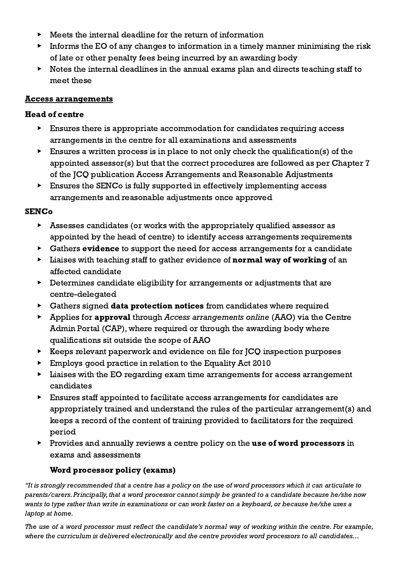- $\blacktriangleright$  Meets the internal deadline for the return of information
- $\triangleright$  Informs the EO of any changes to information in a timely manner minimising the risk of late or other penalty fees being incurred by an awarding body
- ▶ Notes the internal deadlines in the annual exams plan and directs teaching staff to meet these

#### <span id="page-11-0"></span>Access arrangements

## Head of centre

- ▶ Ensures there is appropriate accommodation for candidates requiring access arrangements in the centre for all examinations and assessments
- $\triangleright$  Ensures a written process is in place to not only check the qualification(s) of the appointed assessor(s) but that the correct procedures are followed as per Chapter 7 of the JCQ publication Access Arrangements and Reasonable Adjustments
- ▶ Ensures the SENCo is fully supported in effectively implementing access arrangements and reasonable adjustments once approved

## **SENCo**

- ▶ Assesses candidates (or works with the appropriately qualified assessor as appointed by the head of centre) to identify access arrangements requirements
- ▶ Gathers evidence to support the need for access arrangements for a candidate
- **EXECUTE:** Liaises with teaching staff to gather evidence of **normal way of working** of an affected candidate
- ▶ Determines candidate eligibility for arrangements or adjustments that are centre-delegated
- $\triangleright$  Gathers signed data protection notices from candidates where required
- ▶ Applies for approval through Access arrangements online (AAO) via the Centre Admin Portal (CAP), where required or through the awarding body where qualifications sit outside the scope of AAO
- ▶ Keeps relevant paperwork and evidence on file for JCQ inspection purposes
- ▶ Employs good practice in relation to the Equality Act 2010
- ▶ Liaises with the EO regarding exam time arrangements for access arrangement candidates
- ▶ Ensures staff appointed to facilitate access arrangements for candidates are appropriately trained and understand the rules of the particular arrangement(s) and keeps a record of the content of training provided to facilitators for the required period
- ▶ Provides and annually reviews a centre policy on the use of word processors in exams and assessments

## Word processor policy (exams)

<span id="page-11-1"></span>"It is strongly recommended that a centre has a policy on the use of word processors which it can articulate to parents/carers. Principally, that a word processor cannot simply be granted to a candidate because he/she now wants to type rather than write in examinations or can work faster on a keyboard, or because he/she uses a laptop at home.

The use of a word processor must reflect the candidate's normal way of working within the centre. For example, where the curriculum is delivered electronically and the centre provides word processors to all candidates…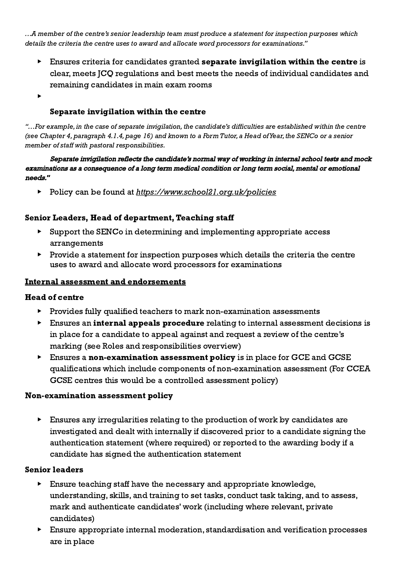…A member of the centre's senior leadership team must produce a statement for inspection purposes which details the criteria the centre uses to award and allocate word processors for examinations."

- Ensures criteria for candidates granted separate invigilation within the centre is clear, meets JCQ regulations and best meets the needs of individual candidates and remaining candidates in main exam rooms
- <span id="page-12-0"></span>▶

#### Separate invigilation within the centre

"…For example, in the case of separate invigilation, the candidate's difficulties are established within the centre (see Chapter 4, paragraph 4.1.4, page 16) and known to a Form Tutor, a Head of Year, the SENCo or a senior member of staff with pastoral responsibilities.

Separate invigilation reflects the candidate's normal way of working in internal school tests and mock examinations as <sup>a</sup> consequence of <sup>a</sup> long term medical condition or long term social, mental or emotional needs."

▶ Policy can be found at <https://www.school21.org.uk/policies>

#### Senior Leaders, Head of department, Teaching staff

- ▶ Support the SENCo in determining and implementing appropriate access arrangements
- $\blacktriangleright$  Provide a statement for inspection purposes which details the criteria the centre uses to award and allocate word processors for examinations

#### <span id="page-12-1"></span>Internal assessment and endorsements

#### Head of centre

- ▶ Provides fully qualified teachers to mark non-examination assessments
- ▶ Ensures an internal appeals procedure relating to internal assessment decisions is in place for a candidate to appeal against and request a review of the centre's marking (see Roles and responsibilities overview)
- **Ensures a non-examination assessment policy is in place for GCE and GCSE** qualifications which include components of non-examination assessment (For CCEA GCSE centres this would be a controlled assessment policy)

#### <span id="page-12-2"></span>Non-examination assessment policy

▶ Ensures any irregularities relating to the production of work by candidates are investigated and dealt with internally if discovered prior to a candidate signing the authentication statement (where required) or reported to the awarding body if a candidate has signed the authentication statement

#### Senior leaders

- $\blacktriangleright$  Ensure teaching staff have the necessary and appropriate knowledge, understanding, skills, and training to set tasks, conduct task taking, and to assess, mark and authenticate candidates' work (including where relevant, private candidates)
- ▶ Ensure appropriate internal moderation, standardisation and verification processes are in place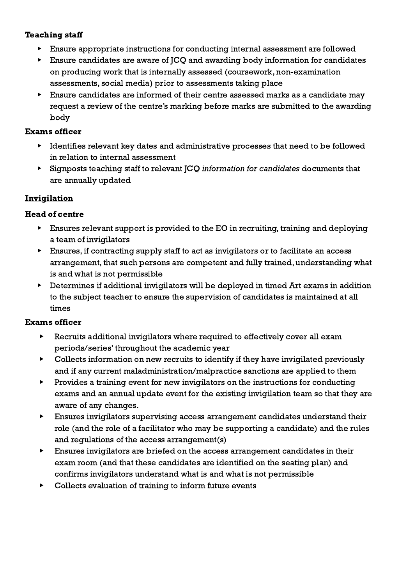#### Teaching staff

- ▶ Ensure appropriate instructions for conducting internal assessment are followed
- ▶ Ensure candidates are aware of JCQ and awarding body information for candidates on producing work that is internally assessed (coursework, non-examination assessments, social media) prior to assessments taking place
- ▶ Ensure candidates are informed of their centre assessed marks as a candidate may request a review of the centre's marking before marks are submitted to the awarding body

#### Exams officer

- ▶ Identifies relevant key dates and administrative processes that need to be followed in relation to internal assessment
- ▶ Signposts teaching staff to relevant JCQ information for candidates documents that are annually updated

## <span id="page-13-0"></span>**Invigilation**

## Head of centre

- $\triangleright$  Ensures relevant support is provided to the EO in recruiting, training and deploying a team of invigilators
- ▶ Ensures, if contracting supply staff to act as invigilators or to facilitate an access arrangement, that such persons are competent and fully trained, understanding what is and what is not permissible
- ▶ Determines if additional invigilators will be deployed in timed Art exams in addition to the subject teacher to ensure the supervision of candidates is maintained at all times

## Exams officer

- ▶ Recruits additional invigilators where required to effectively cover all exam periods/series' throughout the academic year
- ▶ Collects information on new recruits to identify if they have invigilated previously and if any current maladministration/malpractice sanctions are applied to them
- ▶ Provides a training event for new invigilators on the instructions for conducting exams and an annual update event for the existing invigilation team so that they are aware of any changes.
- ▶ Ensures invigilators supervising access arrangement candidates understand their role (and the role of a facilitator who may be supporting a candidate) and the rules and regulations of the access arrangement(s)
- ▶ Ensures invigilators are briefed on the access arrangement candidates in their exam room (and that these candidates are identified on the seating plan) and confirms invigilators understand what is and what is not permissible
- ▶ Collects evaluation of training to inform future events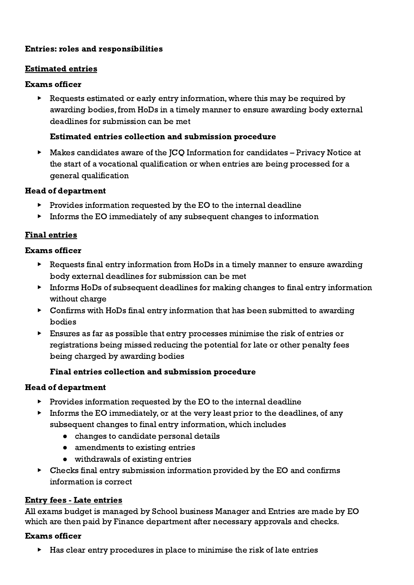## <span id="page-14-0"></span>Entries: roles and responsibilities

#### <span id="page-14-1"></span>Estimated entries

#### Exams officer

▶ Requests estimated or early entry information, where this may be required by awarding bodies, from HoDs in a timely manner to ensure awarding body external deadlines for submission can be met

#### Estimated entries collection and submission procedure

<span id="page-14-2"></span>▶ Makes candidates aware of the JCQ Information for candidates – Privacy Notice at the start of a vocational qualification or when entries are being processed for a general qualification

#### Head of department

- $\triangleright$  Provides information requested by the EO to the internal deadline
- $\triangleright$  Informs the EO immediately of any subsequent changes to information

## <span id="page-14-3"></span>Final entries

#### Exams officer

- ▶ Requests final entry information from HoDs in a timely manner to ensure awarding body external deadlines for submission can be met
- ▶ Informs HoDs of subsequent deadlines for making changes to final entry information without charge
- ▶ Confirms with HoDs final entry information that has been submitted to awarding bodies
- ▶ Ensures as far as possible that entry processes minimise the risk of entries or registrations being missed reducing the potential for late or other penalty fees being charged by awarding bodies

## Final entries collection and submission procedure

## <span id="page-14-4"></span>Head of department

- $\triangleright$  Provides information requested by the EO to the internal deadline
- ▶ Informs the EO immediately, or at the very least prior to the deadlines, of any subsequent changes to final entry information, which includes
	- changes to candidate personal details
	- amendments to existing entries
	- withdrawals of existing entries
- $\triangleright$  Checks final entry submission information provided by the EO and confirms information is correct

#### <span id="page-14-5"></span>Entry fees - Late entries

All exams budget is managed by School business Manager and Entries are made by EO which are then paid by Finance department after necessary approvals and checks.

#### Exams officer

▶ Has clear entry procedures in place to minimise the risk of late entries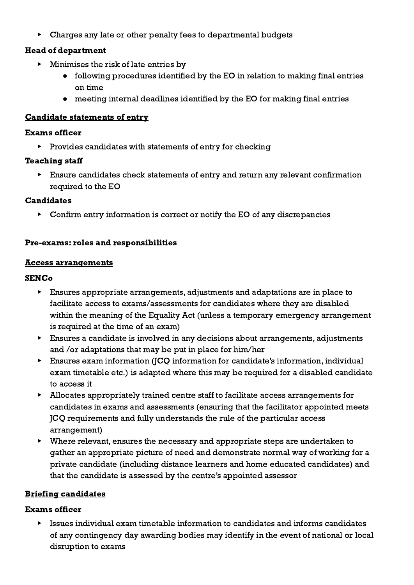▶ Charges any late or other penalty fees to departmental budgets

# Head of department

- $\blacktriangleright$  Minimises the risk of late entries by
	- following procedures identified by the EO in relation to making final entries on time
	- meeting internal deadlines identified by the EO for making final entries

## Candidate statements of entry

#### Exams officer

▶ Provides candidates with statements of entry for checking

## Teaching staff

▶ Ensure candidates check statements of entry and return any relevant confirmation required to the EO

## **Candidates**

 $\triangleright$  Confirm entry information is correct or notify the EO of any discrepancies

## Pre-exams: roles and responsibilities

#### Access arrangements

## **SENC<sub>o</sub>**

- ▶ Ensures appropriate arrangements, adjustments and adaptations are in place to facilitate access to exams/assessments for candidates where they are disabled within the meaning of the Equality Act (unless a temporary emergency arrangement is required at the time of an exam)
- ▶ Ensures a candidate is involved in any decisions about arrangements, adjustments and /or adaptations that may be put in place for him/her
- ▶ Ensures exam information (JCQ information for candidate's information, individual exam timetable etc.) is adapted where this may be required for a disabled candidate to access it
- ▶ Allocates appropriately trained centre staff to facilitate access arrangements for candidates in exams and assessments (ensuring that the facilitator appointed meets JCQ requirements and fully understands the rule of the particular access arrangement)
- ▶ Where relevant, ensures the necessary and appropriate steps are undertaken to gather an appropriate picture of need and demonstrate normal way of working for a private candidate (including distance learners and home educated candidates) and that the candidate is assessed by the centre's appointed assessor

# <span id="page-15-0"></span>Briefing candidates

## Exams officer

 $\blacktriangleright$  Issues individual exam timetable information to candidates and informs candidates of any contingency day awarding bodies may identify in the event of national or local disruption to exams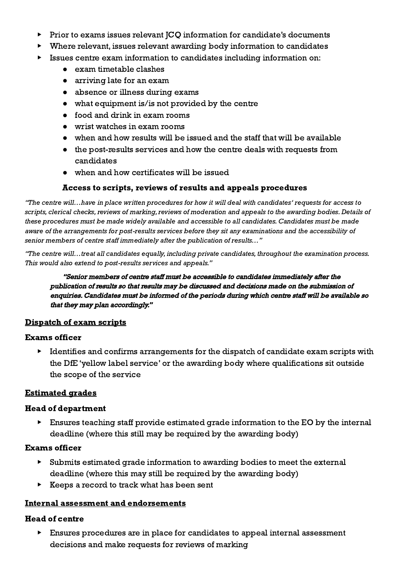- ▶ Prior to exams issues relevant JCQ information for candidate's documents
- Where relevant, issues relevant awarding body information to candidates
- ▶ Issues centre exam information to candidates including information on:
	- exam timetable clashes
	- arriving late for an exam
	- absence or illness during exams
	- what equipment is/is not provided by the centre
	- food and drink in exam rooms
	- wrist watches in exam rooms
	- when and how results will be issued and the staff that will be available
	- the post-results services and how the centre deals with requests from candidates
	- when and how certificates will be issued

#### Access to scripts, reviews of results and appeals procedures

<span id="page-16-0"></span>"The centre will…have in place written procedures for how it will deal with candidates' requests for access to scripts, clerical checks, reviews of marking, reviews of moderation and appeals to the awarding bodies. Details of these procedures must be made widely available and accessible to all candidates. Candidates must be made aware of the arrangements for post-results services before they sit any examinations and the accessibility of senior members of centre staff immediately after the publication of results…"

"The centre will…treat all candidates equally, including private candidates, throughout the examination process. This would also extend to post-results services and appeals."

"Senior members of centre staff must be accessible to candidates immediately after the publication of results so that results may be discussed and decisions made on the submission of enquiries. Candidates must be informed of the periods during which centre staff will be available so that they may plan accordingly."

## <span id="page-16-1"></span>Dispatch of exam scripts

#### Exams officer

▶ Identifies and confirms arrangements for the dispatch of candidate exam scripts with the DfE 'yellow label service' or the awarding body where qualifications sit outside the scope of the service

#### <span id="page-16-2"></span>Estimated grades

#### Head of department

 $\triangleright$  Ensures teaching staff provide estimated grade information to the EO by the internal deadline (where this still may be required by the awarding body)

#### Exams officer

- ▶ Submits estimated grade information to awarding bodies to meet the external deadline (where this may still be required by the awarding body)
- $\triangleright$  Keeps a record to track what has been sent

#### <span id="page-16-3"></span>Internal assessment and endorsements

#### Head of centre

▶ Ensures procedures are in place for candidates to appeal internal assessment decisions and make requests for reviews of marking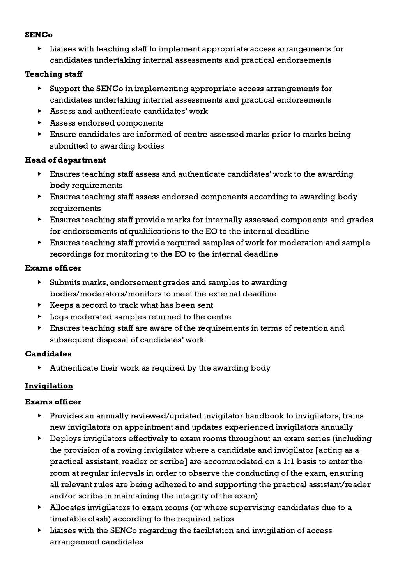## **SENCo**

▶ Liaises with teaching staff to implement appropriate access arrangements for candidates undertaking internal assessments and practical endorsements

## Teaching staff

- ▶ Support the SENCo in implementing appropriate access arrangements for candidates undertaking internal assessments and practical endorsements
- $\triangleright$  Assess and authenticate candidates' work
- ▶ Assess endorsed components
- ▶ Ensure candidates are informed of centre assessed marks prior to marks being submitted to awarding bodies

## Head of department

- ▶ Ensures teaching staff assess and authenticate candidates' work to the awarding body requirements
- ▶ Ensures teaching staff assess endorsed components according to awarding body requirements
- ▶ Ensures teaching staff provide marks for internally assessed components and grades for endorsements of qualifications to the EO to the internal deadline
- ▶ Ensures teaching staff provide required samples of work for moderation and sample recordings for monitoring to the EO to the internal deadline

## Exams officer

- ▶ Submits marks, endorsement grades and samples to awarding bodies/moderators/monitors to meet the external deadline
- $\triangleright$  Keeps a record to track what has been sent
- ▶ Logs moderated samples returned to the centre
- ▶ Ensures teaching staff are aware of the requirements in terms of retention and subsequent disposal of candidates' work

# Candidates

▶ Authenticate their work as required by the awarding body

# <span id="page-17-0"></span>**Invigilation**

## Exams officer

- ▶ Provides an annually reviewed/updated invigilator handbook to invigilators, trains new invigilators on appointment and updates experienced invigilators annually
- ▶ Deploys invigilators effectively to exam rooms throughout an exam series (including the provision of a roving invigilator where a candidate and invigilator [acting as a practical assistant, reader or scribe] are accommodated on a 1:1 basis to enter the room at regular intervals in order to observe the conducting of the exam, ensuring all relevant rules are being adhered to and supporting the practical assistant/reader and/or scribe in maintaining the integrity of the exam)
- ▶ Allocates invigilators to exam rooms (or where supervising candidates due to a timetable clash) according to the required ratios
- ▶ Liaises with the SENCo regarding the facilitation and invigilation of access arrangement candidates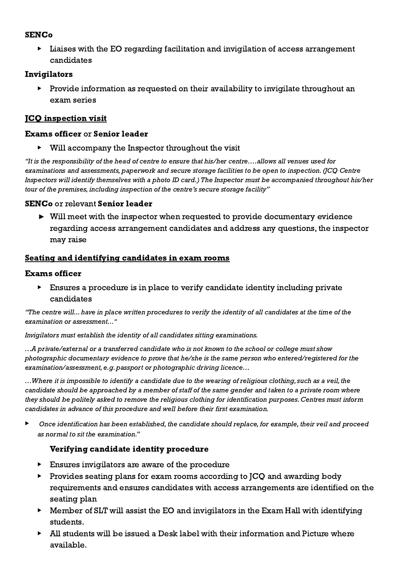#### **SENC<sub>o</sub>**

▶ Liaises with the EO regarding facilitation and invigilation of access arrangement candidates

## Invigilators

Provide information as requested on their availability to invigilate throughout an exam series

# <span id="page-18-0"></span>JCQ inspection visit

## Exams officer or Senior leader

▶ Will accompany the Inspector throughout the visit

"It is the responsibility of the head of centre to ensure that his/her centre….allows all venues used for examinations and assessments, paperwork and secure storage facilities to be open to inspection. (JCQ Centre Inspectors will identify themselves with a photo ID card.) The Inspector must be accompanied throughout his/her tour of the premises, including inspection of the centre's secure storage facility"

## SENCo or relevant Senior leader

▶ Will meet with the inspector when requested to provide documentary evidence regarding access arrangement candidates and address any questions, the inspector may raise

# <span id="page-18-1"></span>Seating and identifying candidates in exam rooms

# Exams officer

▶ Ensures a procedure is in place to verify candidate identity including private candidates

"The centre will... have in place written procedures to verify the identity of all candidates at the time of the examination or assessment…"

Invigilators must establish the identity of all candidates sitting examinations.

…A private/external or a transferred candidate who is not known to the school or college must show photographic documentary evidence to prove that he/she is the same person who entered/registered for the examination/assessment, e.g. passport or photographic driving licence...

…Where it is impossible to identify a candidate due to the wearing of religious clothing, such as a veil, the candidate should be approached by a member of staff of the same gender and taken to a private room where they should be politely asked to remove the religious clothing for identification purposes. Centres must inform candidates in advance of this procedure and well before their first examination.

Once identification has been established, the candidate should replace, for example, their veil and proceed as normal to sit the examination."

# Verifying candidate identity procedure

- <span id="page-18-2"></span>▶ Ensures invigilators are aware of the procedure
- Provides seating plans for exam rooms according to JCQ and awarding body requirements and ensures candidates with access arrangements are identified on the seating plan
- ▶ Member of SLT will assist the EO and invigilators in the Exam Hall with identifying students.
- $\blacktriangleright$  All students will be issued a Desk label with their information and Picture where available.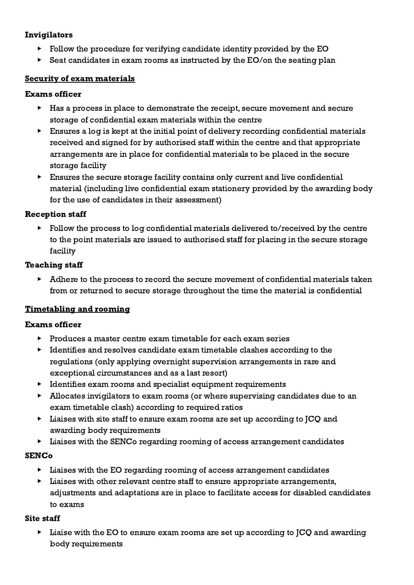## Invigilators

- ▶ Follow the procedure for verifying candidate identity provided by the EO
- $\triangleright$  Seat candidates in exam rooms as instructed by the EO/on the seating plan

## <span id="page-19-0"></span>Security of exam materials

## Exams officer

- ▶ Has a process in place to demonstrate the receipt, secure movement and secure storage of confidential exam materials within the centre
- ▶ Ensures a log is kept at the initial point of delivery recording confidential materials received and signed for by authorised staff within the centre and that appropriate arrangements are in place for confidential materials to be placed in the secure storage facility
- $\blacktriangleright$  Ensures the secure storage facility contains only current and live confidential material (including live confidential exam stationery provided by the awarding body for the use of candidates in their assessment)

# Reception staff

Follow the process to log confidential materials delivered to/received by the centre to the point materials are issued to authorised staff for placing in the secure storage facility

## Teaching staff

▶ Adhere to the process to record the secure movement of confidential materials taken from or returned to secure storage throughout the time the material is confidential

# <span id="page-19-1"></span>Timetabling and rooming

## Exams officer

- ▶ Produces a master centre exam timetable for each exam series
- ▶ Identifies and resolves candidate exam timetable clashes according to the regulations (only applying overnight supervision arrangements in rare and exceptional circumstances and as a last resort)
- ▶ Identifies exam rooms and specialist equipment requirements
- ▶ Allocates invigilators to exam rooms (or where supervising candidates due to an exam timetable clash) according to required ratios
- $\blacktriangleright$  Liaises with site staff to ensure exam rooms are set up according to JCQ and awarding body requirements
- ▶ Liaises with the SENCo regarding rooming of access arrangement candidates

# **SENC<sub>o</sub>**

- ▶ Liaises with the EO regarding rooming of access arrangement candidates
- ▶ Liaises with other relevant centre staff to ensure appropriate arrangements, adjustments and adaptations are in place to facilitate access for disabled candidates to exams

## Site staff

▶ Liaise with the EO to ensure exam rooms are set up according to JCQ and awarding body requirements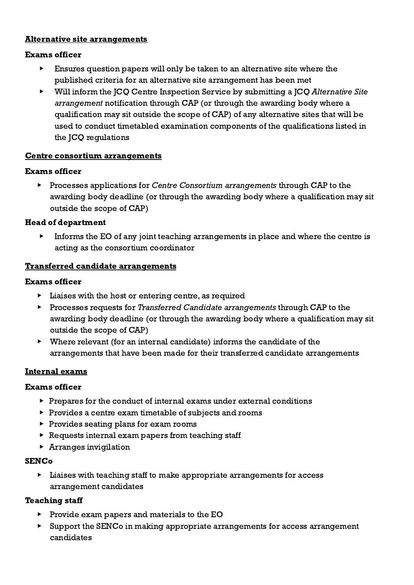#### <span id="page-20-0"></span>Alternative site arrangements

#### Exams officer

- ▶ Ensures question papers will only be taken to an alternative site where the published criteria for an alternative site arrangement has been met
- ▶ Will inform the JCQ Centre Inspection Service by submitting a JCQ Alternative Site arrangement notification through CAP (or through the awarding body where a qualification may sit outside the scope of CAP) of any alternative sites that will be used to conduct timetabled examination components of the qualifications listed in the JCQ regulations

#### <span id="page-20-1"></span>Centre consortium arrangements

#### Exams officer

▶ Processes applications for Centre Consortium arrangements through CAP to the awarding body deadline (or through the awarding body where a qualification may sit outside the scope of CAP)

#### Head of department

▶ Informs the EO of any joint teaching arrangements in place and where the centre is acting as the consortium coordinator

#### <span id="page-20-2"></span>Transferred candidate arrangements

#### Exams officer

- $\blacktriangleright$  Liaises with the host or entering centre, as required
- ▶ Processes requests for Transferred Candidate arrangements through CAP to the awarding body deadline (or through the awarding body where a qualification may sit outside the scope of CAP)
- $\blacktriangleright$  Where relevant (for an internal candidate) informs the candidate of the arrangements that have been made for their transferred candidate arrangements

## <span id="page-20-3"></span>Internal exams

## Exams officer

- $\triangleright$  Prepares for the conduct of internal exams under external conditions
- ▶ Provides a centre exam timetable of subjects and rooms
- ▶ Provides seating plans for exam rooms
- ▶ Requests internal exam papers from teaching staff
- $\blacktriangleright$  Arranges invigilation

## SENCo

▶ Liaises with teaching staff to make appropriate arrangements for access arrangement candidates

## Teaching staff

- ▶ Provide exam papers and materials to the EO
- ▶ Support the SENCo in making appropriate arrangements for access arrangement candidates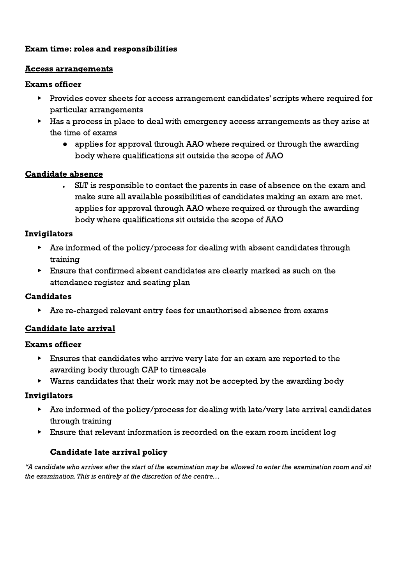## <span id="page-21-0"></span>Exam time: roles and responsibilities

#### <span id="page-21-1"></span>Access arrangements

#### Exams officer

- ▶ Provides cover sheets for access arrangement candidates' scripts where required for particular arrangements
- ▶ Has a process in place to deal with emergency access arrangements as they arise at the time of exams
	- applies for approval through AAO where required or through the awarding body where qualifications sit outside the scope of AAO

#### <span id="page-21-2"></span>Candidate absence

**●** SLT is responsible to contact the parents in case of absence on the exam and make sure all available possibilities of candidates making an exam are met. applies for approval through AAO where required or through the awarding body where qualifications sit outside the scope of AAO

#### Invigilators

- ▶ Are informed of the policy/process for dealing with absent candidates through training
- ▶ Ensure that confirmed absent candidates are clearly marked as such on the attendance register and seating plan

## **Candidates**

▶ Are re-charged relevant entry fees for unauthorised absence from exams

## <span id="page-21-3"></span>Candidate late arrival

#### Exams officer

- ▶ Ensures that candidates who arrive very late for an exam are reported to the awarding body through CAP to timescale
- ▶ Warns candidates that their work may not be accepted by the awarding body

## Invigilators

- $\blacktriangleright$  Are informed of the policy/process for dealing with late/very late arrival candidates through training
- <span id="page-21-4"></span>▶ Ensure that relevant information is recorded on the exam room incident log

## Candidate late arrival policy

"A candidate who arrives after the start of the examination may be allowed to enter the examination room and sit the examination.This is entirely at the discretion of the centre…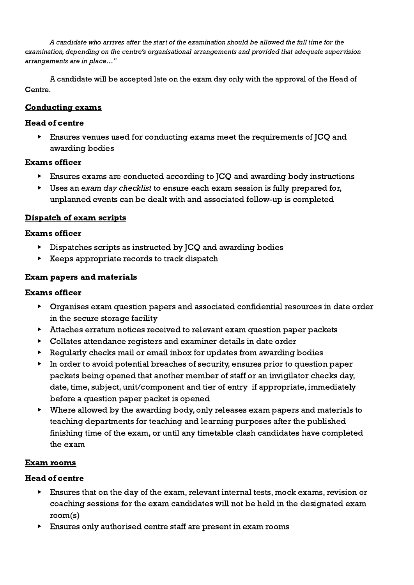A candidate who arrives after the start of the examination should be allowed the full time for the examination, depending on the centre's organisational arrangements and provided that adequate supervision arrangements are in place…"

A candidate will be accepted late on the exam day only with the approval of the Head of Centre.

## <span id="page-22-0"></span>Conducting exams

## Head of centre

▶ Ensures venues used for conducting exams meet the requirements of JCQ and awarding bodies

## Exams officer

- ▶ Ensures exams are conducted according to JCQ and awarding body instructions
- $\triangleright$  Uses an exam day checklist to ensure each exam session is fully prepared for, unplanned events can be dealt with and associated follow-up is completed

# <span id="page-22-1"></span>Dispatch of exam scripts

## Exams officer

- ▶ Dispatches scripts as instructed by JCQ and awarding bodies
- $\triangleright$  Keeps appropriate records to track dispatch

## <span id="page-22-2"></span>Exam papers and materials

## Exams officer

- ▶ Organises exam question papers and associated confidential resources in date order in the secure storage facility
- ▶ Attaches erratum notices received to relevant exam question paper packets
- ▶ Collates attendance registers and examiner details in date order
- ▶ Regularly checks mail or email inbox for updates from awarding bodies
- ▶ In order to avoid potential breaches of security, ensures prior to question paper packets being opened that another member of staff or an invigilator checks day, date, time, subject, unit/component and tier of entry if appropriate, immediately before a question paper packet is opened
- ▶ Where allowed by the awarding body, only releases exam papers and materials to teaching departments for teaching and learning purposes after the published finishing time of the exam, or until any timetable clash candidates have completed the exam

# <span id="page-22-3"></span>Exam rooms

# Head of centre

- ▶ Ensures that on the day of the exam, relevant internal tests, mock exams, revision or coaching sessions for the exam candidates will not be held in the designated exam room(s)
- ▶ Ensures only authorised centre staff are present in exam rooms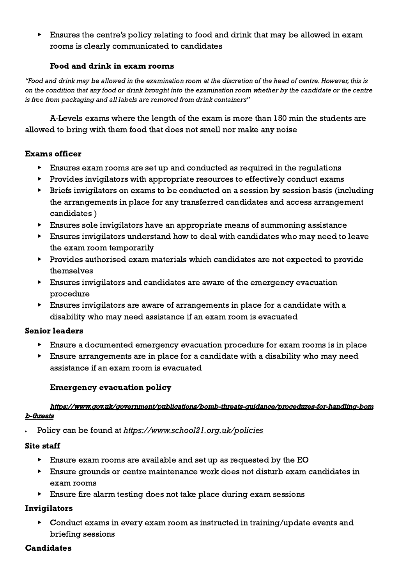▶ Ensures the centre's policy relating to food and drink that may be allowed in exam rooms is clearly communicated to candidates

#### Food and drink in exam rooms

<span id="page-23-0"></span>"Food and drink may be allowed in the examination room at the discretion of the head of centre.However, this is on the condition that any food or drink brought into the examination room whether by the candidate or the centre is free from packaging and all labels are removed from drink containers"

A-Levels exams where the length of the exam is more than 150 min the students are allowed to bring with them food that does not smell nor make any noise

#### Exams officer

- $\blacktriangleright$  Ensures exam rooms are set up and conducted as required in the requiations
- ▶ Provides invigilators with appropriate resources to effectively conduct exams
- ▶ Briefs invigilators on exams to be conducted on a session by session basis (including the arrangements in place for any transferred candidates and access arrangement candidates )
- ▶ Ensures sole invigilators have an appropriate means of summoning assistance
- ▶ Ensures invigilators understand how to deal with candidates who may need to leave the exam room temporarily
- ▶ Provides authorised exam materials which candidates are not expected to provide themselves
- ▶ Ensures invigilators and candidates are aware of the emergency evacuation procedure
- ▶ Ensures invigilators are aware of arrangements in place for a candidate with a disability who may need assistance if an exam room is evacuated

#### Senior leaders

- ▶ Ensure a documented emergency evacuation procedure for exam rooms is in place
- $\blacktriangleright$  Ensure arrangements are in place for a candidate with a disability who may need assistance if an exam room is evacuated

## Emergency evacuation policy

#### <span id="page-23-1"></span>[https://www.gov.uk/government/publications/bomb-threats-guidance/procedures-for-handling-bom](https://www.gov.uk/government/publications/bomb-threats-guidance/procedures-for-handling-bomb-threats) [b-threats](https://www.gov.uk/government/publications/bomb-threats-guidance/procedures-for-handling-bomb-threats)

Policy can be found at <https://www.school21.org.uk/policies>

#### Site staff

- ▶ Ensure exam rooms are available and set up as requested by the EO
- ▶ Ensure grounds or centre maintenance work does not disturb exam candidates in exam rooms
- ▶ Ensure fire alarm testing does not take place during exam sessions

## Invigilators

▶ Conduct exams in every exam room as instructed in training/update events and briefing sessions

## **Candidates**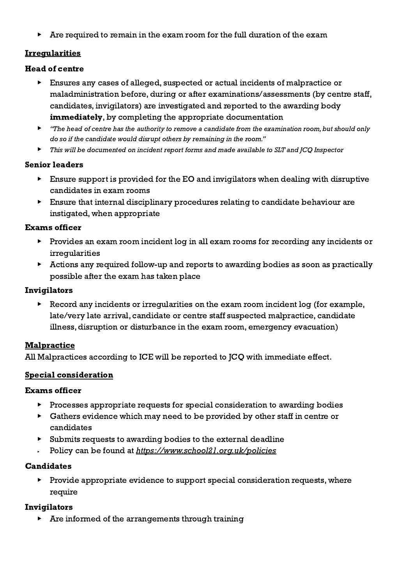▶ Are required to remain in the exam room for the full duration of the exam

# <span id="page-24-0"></span>Irregularities

## Head of centre

- ▶ Ensures any cases of alleged, suspected or actual incidents of malpractice or maladministration before, during or after examinations/assessments (by centre staff, candidates, invigilators) are investigated and reported to the awarding body immediately, by completing the appropriate documentation
- ▶ "The head of centre has the authority to remove a candidate from the examination room, but should only do so if the candidate would disrupt others by remaining in the room."
- ▶ This will be documented on incident report forms and made available to SLT and JCQ Inspector

## Senior leaders

- $\triangleright$  Ensure support is provided for the EO and invigilators when dealing with disruptive candidates in exam rooms
- ▶ Ensure that internal disciplinary procedures relating to candidate behaviour are instigated, when appropriate

## Exams officer

- ▶ Provides an exam room incident log in all exam rooms for recording any incidents or irregularities
- ▶ Actions any required follow-up and reports to awarding bodies as soon as practically possible after the exam has taken place

## Invigilators

▶ Record any incidents or irregularities on the exam room incident log (for example, late/very late arrival, candidate or centre staff suspected malpractice, candidate illness, disruption or disturbance in the exam room, emergency evacuation)

# **Malpractice**

All Malpractices according to ICE will be reported to JCQ with immediate effect.

## <span id="page-24-1"></span>Special consideration

## Exams officer

- ▶ Processes appropriate requests for special consideration to awarding bodies
- ▶ Gathers evidence which may need to be provided by other staff in centre or candidates
- ▶ Submits requests to awarding bodies to the external deadline
- Policy can be found at <https://www.school21.org.uk/policies>

# Candidates

▶ Provide appropriate evidence to support special consideration requests, where require

# Invigilators

Are informed of the arrangements through training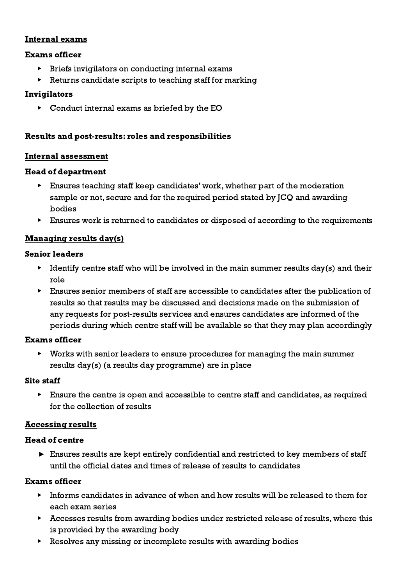## <span id="page-25-0"></span>Internal exams

#### Exams officer

- ▶ Briefs invigilators on conducting internal exams
- Returns candidate scripts to teaching staff for marking

#### Invigilators

▶ Conduct internal exams as briefed by the EO

#### <span id="page-25-1"></span>Results and post-results: roles and responsibilities

#### <span id="page-25-2"></span>Internal assessment

#### Head of department

- $\blacktriangleright$  Ensures teaching staff keep candidates' work, whether part of the moderation sample or not, secure and for the required period stated by JCQ and awarding bodies
- ▶ Ensures work is returned to candidates or disposed of according to the requirements

#### <span id="page-25-3"></span>Managing results day(s)

#### Senior leaders

- $\triangleright$  Identify centre staff who will be involved in the main summer results day(s) and their role
- ▶ Ensures senior members of staff are accessible to candidates after the publication of results so that results may be discussed and decisions made on the submission of any requests for post-results services and ensures candidates are informed of the periods during which centre staff will be available so that they may plan accordingly

#### Exams officer

Works with senior leaders to ensure procedures for managing the main summer results day(s) (a results day programme) are in place

#### Site staff

▶ Ensure the centre is open and accessible to centre staff and candidates, as required for the collection of results

#### <span id="page-25-4"></span>Accessing results

#### Head of centre

 $\triangleright$  Ensures results are kept entirely confidential and restricted to key members of staff until the official dates and times of release of results to candidates

#### Exams officer

- $\blacktriangleright$  Informs candidates in advance of when and how results will be released to them for each exam series
- ▶ Accesses results from awarding bodies under restricted release of results, where this is provided by the awarding body
- ▶ Resolves any missing or incomplete results with awarding bodies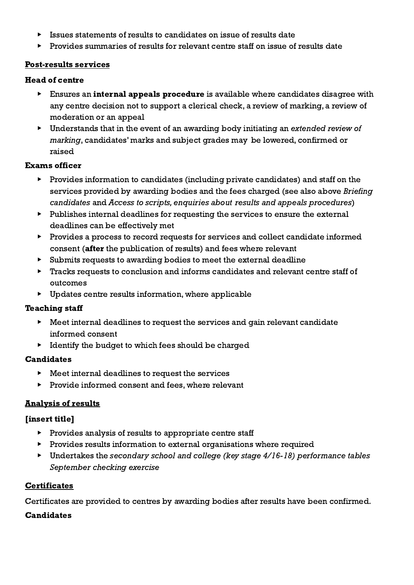- ▶ Issues statements of results to candidates on issue of results date
- ▶ Provides summaries of results for relevant centre staff on issue of results date

#### <span id="page-26-0"></span>Post-results services

#### Head of centre

- **Ensures an internal appeals procedure** is available where candidates disagree with any centre decision not to support a clerical check, a review of marking, a review of moderation or an appeal
- ▶ Understands that in the event of an awarding body initiating an extended review of marking, candidates' marks and subject grades may be lowered, confirmed or raised

## Exams officer

- ▶ Provides information to candidates (including private candidates) and staff on the services provided by awarding bodies and the fees charged (see also above Briefing candidates and Access to scripts, enquiries about results and appeals procedures)
- ▶ Publishes internal deadlines for requesting the services to ensure the external deadlines can be effectively met
- ▶ Provides a process to record requests for services and collect candidate informed consent (after the publication of results) and fees where relevant
- ▶ Submits requests to awarding bodies to meet the external deadline
- ▶ Tracks requests to conclusion and informs candidates and relevant centre staff of outcomes
- $\triangleright$  Updates centre results information, where applicable

## Teaching staff

- ▶ Meet internal deadlines to request the services and gain relevant candidate informed consent
- ▶ Identify the budget to which fees should be charged

## Candidates

- $\blacktriangleright$  Meet internal deadlines to request the services
- ▶ Provide informed consent and fees, where relevant

## <span id="page-26-1"></span>Analysis of results

## [insert title]

- ▶ Provides analysis of results to appropriate centre staff
- ▶ Provides results information to external organisations where required
- ▶ Undertakes the secondary school and college (key stage 4/16-18) performance tables September checking exercise

## <span id="page-26-2"></span>**Certificates**

Certificates are provided to centres by awarding bodies after results have been confirmed.

## Candidates